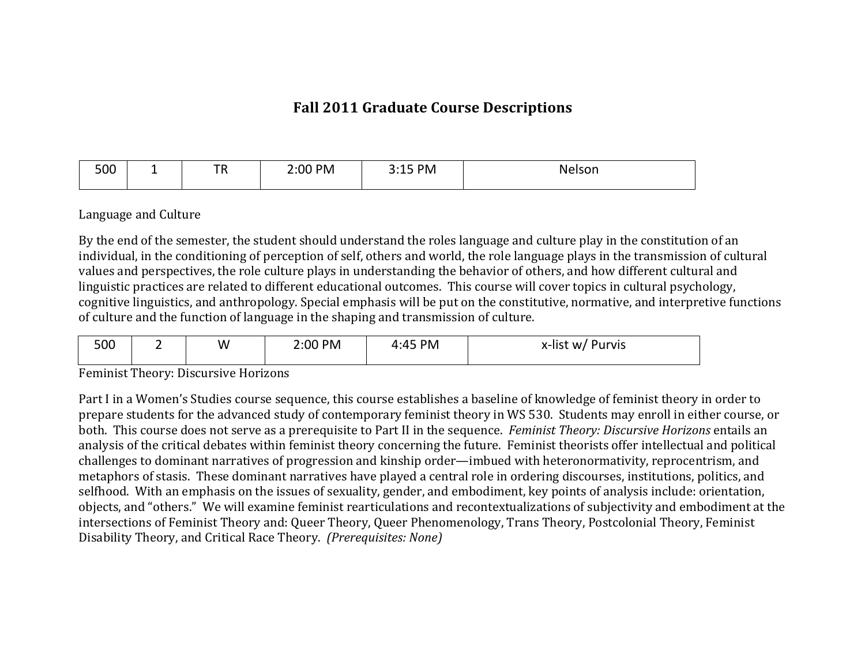## **Fall 2011 Graduate Course Descriptions**

| 500 | - | —n<br>$\sim$<br>. | 2:00 PM | PM<br>---- | Nelson. |
|-----|---|-------------------|---------|------------|---------|
|-----|---|-------------------|---------|------------|---------|

## Language and Culture

By the end of the semester, the student should understand the roles language and culture play in the constitution of an individual, in the conditioning of perception of self, others and world, the role language plays in the transmission of cultural values and perspectives, the role culture plays in understanding the behavior of others, and how different cultural and linguistic practices are related to different educational outcomes. This course will cover topics in cultural psychology, cognitive linguistics, and anthropology. Special emphasis will be put on the constitutive, normative, and interpretive functions of culture and the function of language in the shaping and transmission of culture.

| 500 | W | 2:00 PM | PM<br>4∙45<br>д.<br> | x-list w/ Purvis |
|-----|---|---------|----------------------|------------------|
|     |   |         |                      |                  |

Feminist Theory: Discursive Horizons

Part I in a Women's Studies course sequence, this course establishes a baseline of knowledge of feminist theory in order to prepare students for the advanced study of contemporary feminist theory in WS 530. Students may enroll in either course, or both. This course does not serve as a prerequisite to Part II in the sequence. Feminist Theory: Discursive Horizons entails an analysis of the critical debates within feminist theory concerning the future. Feminist theorists offer intellectual and political challenges to dominant narratives of progression and kinship order—imbued with heteronormativity, reprocentrism, and metaphors of stasis. These dominant narratives have played a central role in ordering discourses, institutions, politics, and selfhood. With an emphasis on the issues of sexuality, gender, and embodiment, key points of analysis include: orientation, objects, and "others." We will examine feminist rearticulations and recontextualizations of subjectivity and embodiment at the intersections of Feminist Theory and: Queer Theory, Queer Phenomenology, Trans Theory, Postcolonial Theory, Feminist Disability Theory, and Critical Race Theory. (Prerequisites: None)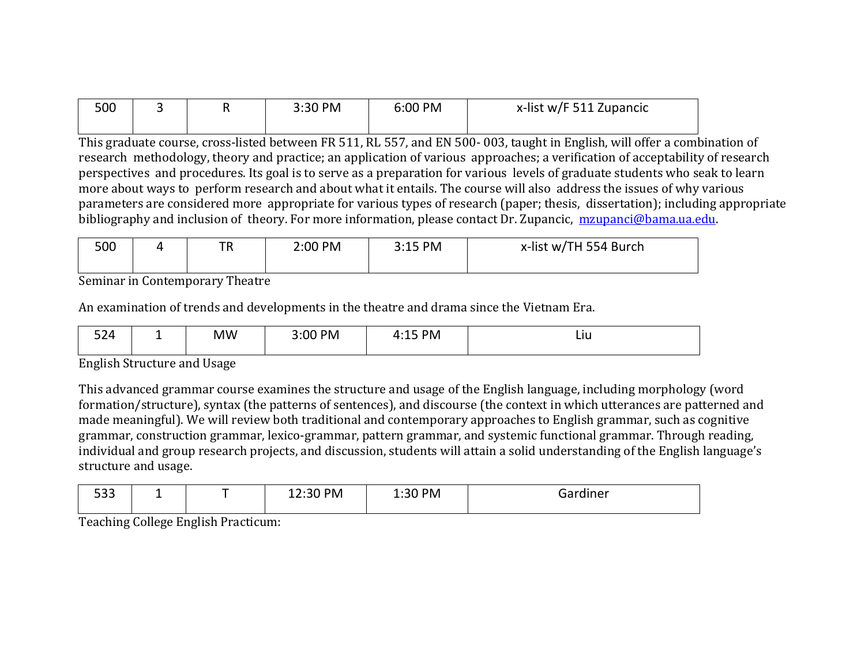| 500 |  | 3:30 PM | 6:00 PM | x-list w/F 511 Zupancic |
|-----|--|---------|---------|-------------------------|
|     |  |         |         |                         |

This graduate course, cross-listed between FR 511, RL 557, and EN 500-003, taught in English, will offer a combination of research methodology, theory and practice; an application of various approaches; a verification of acceptability of research perspectives and procedures. Its goal is to serve as a preparation for various levels of graduate students who seak to learn more about ways to perform research and about what it entails. The course will also address the issues of why various parameters are considered more appropriate for various types of research (paper; thesis, dissertation); including appropriate bibliography and inclusion of theory. For more information, please contact Dr. Zupancic, mzupanci@bama.ua.edu.

| 500 |  | TR | 2:00 PM | 3:15 PM<br><u>J.LJ I</u> | x-list w/TH 554 Burch |
|-----|--|----|---------|--------------------------|-----------------------|
|-----|--|----|---------|--------------------------|-----------------------|

Seminar in Contemporary Theatre

An examination of trends and developments in the theatre and drama since the Vietnam Era.

| $ \sim$ $\lambda$<br>-- | - | <b>MW</b> | <b>PM</b><br>3:00 | ™°<br>Д<br>$\sim$ | <u>LIU</u> |
|-------------------------|---|-----------|-------------------|-------------------|------------|
|-------------------------|---|-----------|-------------------|-------------------|------------|

English Structure and Usage

This advanced grammar course examines the structure and usage of the English language, including morphology (word formation/structure), syntax (the patterns of sentences), and discourse (the context in which utterances are patterned and made meaningful). We will review both traditional and contemporary approaches to English grammar, such as cognitive grammar, construction grammar, lexico-grammar, pattern grammar, and systemic functional grammar. Through reading, individual and group research projects, and discussion, students will attain a solid understanding of the English language's structure and usage.

| - 22<br>$  -$ | _ |  | ו החרי<br>'IV | :30 PM<br>_____ |  |
|---------------|---|--|---------------|-----------------|--|
|---------------|---|--|---------------|-----------------|--|

Teaching College English Practicum: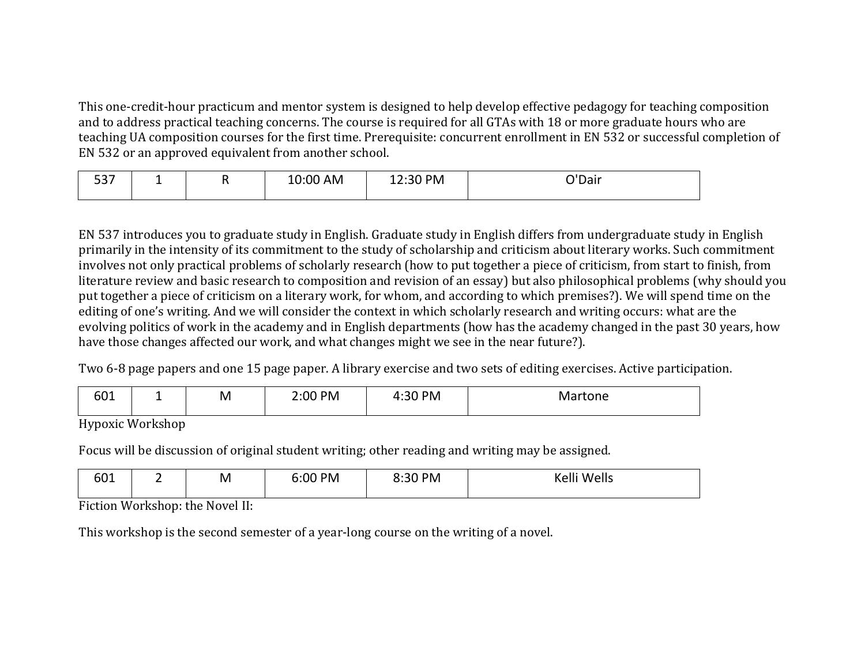This one-credit-hour practicum and mentor system is designed to help develop effective pedagogy for teaching composition and to address practical teaching concerns. The course is required for all GTAs with 18 or more graduate hours who are teaching UA composition courses for the first time. Prerequisite: concurrent enrollment in EN 532 or successful completion of EN 532 or an approved equivalent from another school.

| $ -$<br>--<br>JJ 1 | --<br>– | . . | 10:00 AM | :30 PM<br>-<br>12.JU | 'Dair |
|--------------------|---------|-----|----------|----------------------|-------|
|--------------------|---------|-----|----------|----------------------|-------|

EN 537 introduces you to graduate study in English. Graduate study in English differs from undergraduate study in English primarily in the intensity of its commitment to the study of scholarship and criticism about literary works. Such commitment involves not only practical problems of scholarly research (how to put together a piece of criticism, from start to finish, from literature review and basic research to composition and revision of an essay) but also philosophical problems (why should you put together a piece of criticism on a literary work, for whom, and according to which premises?). We will spend time on the editing of one's writing. And we will consider the context in which scholarly research and writing occurs: what are the evolving politics of work in the academy and in English departments (how has the academy changed in the past 30 years, how have those changes affected our work, and what changes might we see in the near future?).

Two 6-8 page papers and one 15 page paper. A library exercise and two sets of editing exercises. Active participation.

| r n 1<br>90T |  | M | 2:00 PM | 9∩.<br><b>PM</b><br>– 4:3∪ - | ़•rtone<br>IVIA. |
|--------------|--|---|---------|------------------------------|------------------|
|--------------|--|---|---------|------------------------------|------------------|

Hypoxic!Workshop

Focus will be discussion of original student writing; other reading and writing may be assigned.

| ---<br>00 T<br>__ |  | M | 0 PM<br><u>…</u> | PM | . .<br><b>۱۱۹ م/۱۸</b><br> |
|-------------------|--|---|------------------|----|----------------------------|
|-------------------|--|---|------------------|----|----------------------------|

Fiction Workshop: the Novel II:

This workshop is the second semester of a year-long course on the writing of a novel.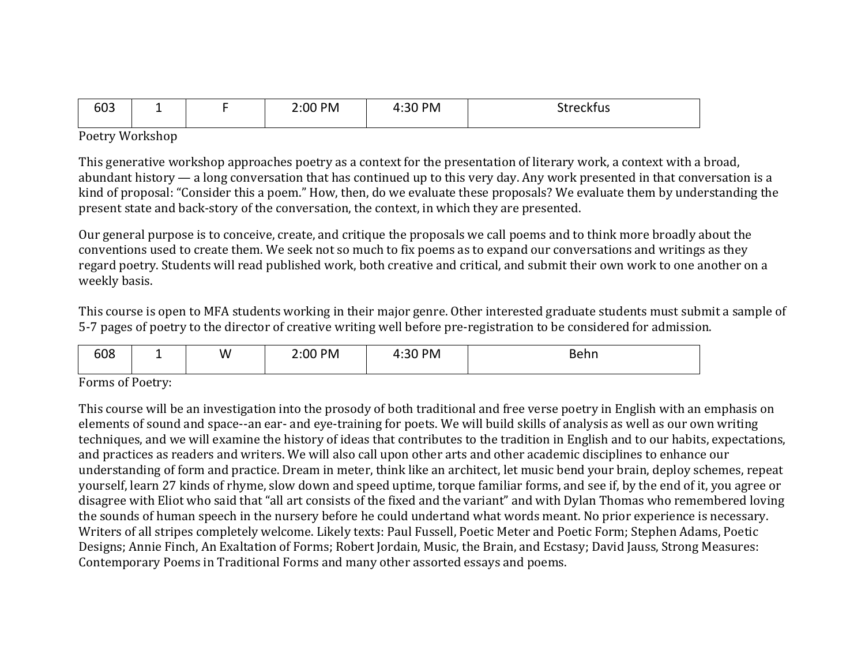| - - -<br>bU3 |  | $00P$ M | $30 P$ M<br>$\overline{\phantom{a}}$<br>טכ.+<br>$ -$ | streckfus<br>__ |
|--------------|--|---------|------------------------------------------------------|-----------------|
|              |  |         |                                                      |                 |

Poetry!Workshop

This generative workshop approaches poetry as a context for the presentation of literary work, a context with a broad, abundant history — a long conversation that has continued up to this very day. Any work presented in that conversation is a kind of proposal: "Consider this a poem." How, then, do we evaluate these proposals? We evaluate them by understanding the present state and back-story of the conversation, the context, in which they are presented.

Our general purpose is to conceive, create, and critique the proposals we call poems and to think more broadly about the conventions used to create them. We seek not so much to fix poems as to expand our conversations and writings as they regard poetry. Students will read published work, both creative and critical, and submit their own work to one another on a weekly basis.

This course is open to MFA students working in their major genre. Other interested graduate students must submit a sample of 5-7 pages of poetry to the director of creative writing well before pre-registration to be considered for admission.

Forms of Poetry:

This course will be an investigation into the prosody of both traditional and free verse poetry in English with an emphasis on elements of sound and space--an ear- and eye-training for poets. We will build skills of analysis as well as our own writing techniques, and we will examine the history of ideas that contributes to the tradition in English and to our habits, expectations, and practices as readers and writers. We will also call upon other arts and other academic disciplines to enhance our understanding of form and practice. Dream in meter, think like an architect, let music bend your brain, deploy schemes, repeat yourself, learn 27 kinds of rhyme, slow down and speed uptime, torque familiar forms, and see if, by the end of it, you agree or disagree with Eliot who said that "all art consists of the fixed and the variant" and with Dylan Thomas who remembered loving the sounds of human speech in the nursery before he could undertand what words meant. No prior experience is necessary. Writers of all stripes completely welcome. Likely texts: Paul Fussell, Poetic Meter and Poetic Form; Stephen Adams, Poetic Designs; Annie Finch, An Exaltation of Forms; Robert Jordain, Music, the Brain, and Ecstasy; David Jauss, Strong Measures: Contemporary Poems in Traditional Forms and many other assorted essays and poems.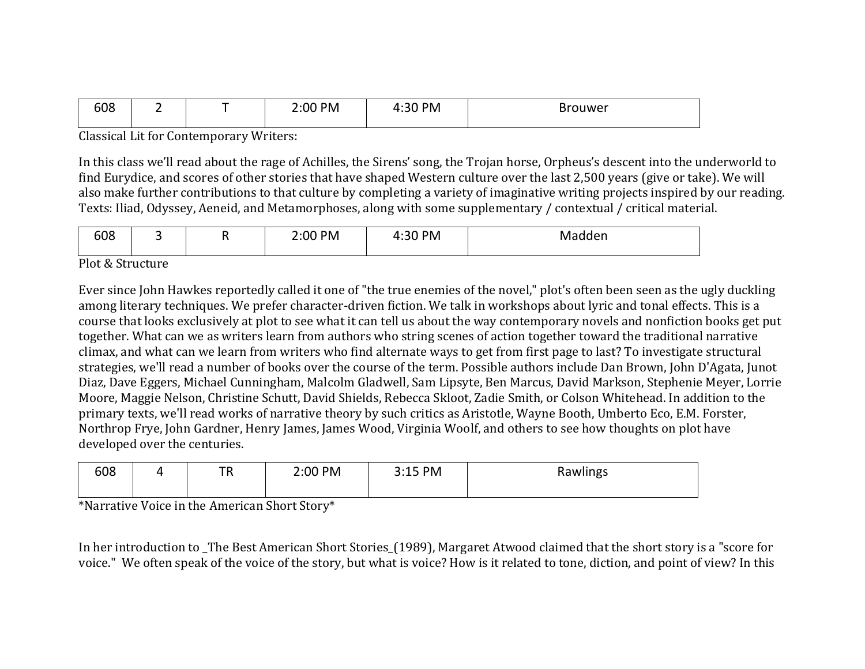| 608 | - | _ | 2:00 PM | .20<br>PM<br>— 4:3ບ . | Brouwer |
|-----|---|---|---------|-----------------------|---------|
|     |   |   |         |                       |         |

Classical Lit for Contemporary Writers:

In this class we'll read about the rage of Achilles, the Sirens' song, the Trojan horse, Orpheus's descent into the underworld to find Eurydice, and scores of other stories that have shaped Western culture over the last 2,500 years (give or take). We will also make further contributions to that culture by completing a variety of imaginative writing projects inspired by our reading. Texts: Iliad, Odyssey, Aeneid, and Metamorphoses, along with some supplementary / contextual / critical material.

| coo<br>וח<br>סטנ |  | . . | PM<br>and the state of the state of the<br>__ | <b>PM</b> | <u>iviannen</u><br>.<br>. |
|------------------|--|-----|-----------------------------------------------|-----------|---------------------------|
|------------------|--|-----|-----------------------------------------------|-----------|---------------------------|

Plot & Structure

Ever since John Hawkes reportedly called it one of "the true enemies of the novel," plot's often been seen as the ugly duckling among literary techniques. We prefer character-driven fiction. We talk in workshops about lyric and tonal effects. This is a course that looks exclusively at plot to see what it can tell us about the way contemporary novels and nonfiction books get put together. What can we as writers learn from authors who string scenes of action together toward the traditional narrative climax, and what can we learn from writers who find alternate ways to get from first page to last? To investigate structural strategies, we'll read a number of books over the course of the term. Possible authors include Dan Brown, John D'Agata, Junot Diaz, Dave Eggers, Michael Cunningham, Malcolm Gladwell, Sam Lipsyte, Ben Marcus, David Markson, Stephenie Meyer, Lorrie Moore, Maggie Nelson, Christine Schutt, David Shields, Rebecca Skloot, Zadie Smith, or Colson Whitehead. In addition to the primary texts, we'll read works of narrative theory by such critics as Aristotle, Wayne Booth, Umberto Eco, E.M. Forster, Northrop Frye, John Gardner, Henry James, James Wood, Virginia Woolf, and others to see how thoughts on plot have developed over the centuries.

| 608<br>$ -$<br>. | 2:00 PM | PM<br><u>J.LJ</u> | Rawlings |
|------------------|---------|-------------------|----------|
|------------------|---------|-------------------|----------|

\*Narrative Voice in the American Short Story\*

In her introduction to \_The Best American Short Stories\_(1989), Margaret Atwood claimed that the short story is a "score for voice." We often speak of the voice of the story, but what is voice? How is it related to tone, diction, and point of view? In this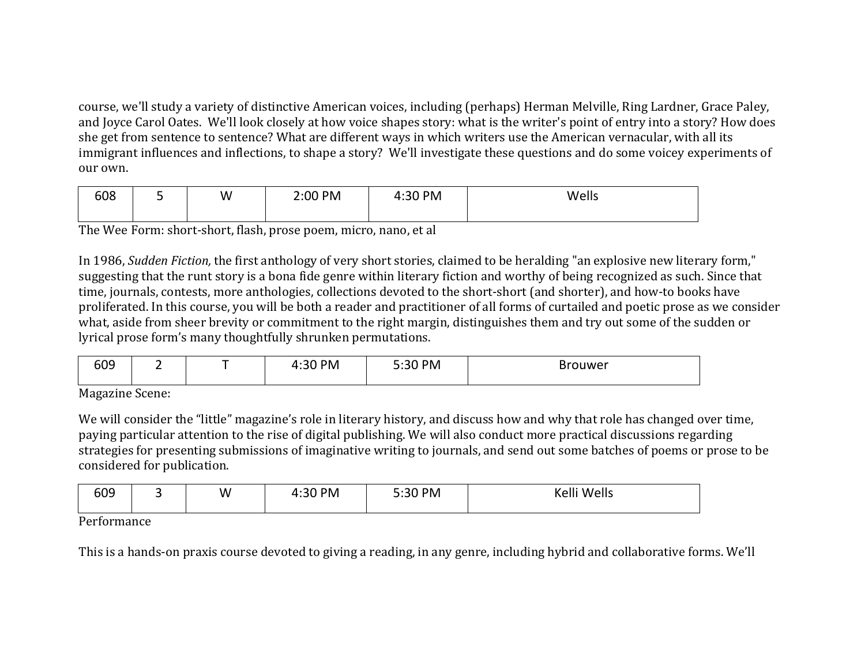course, we'll study a variety of distinctive American voices, including (perhaps) Herman Melville, Ring Lardner, Grace Paley, and Joyce Carol Oates. We'll look closely at how voice shapes story: what is the writer's point of entry into a story? How does she get from sentence to sentence? What are different ways in which writers use the American vernacular, with all its immigrant influences and inflections, to shape a story? We'll investigate these questions and do some voicey experiments of our own.

| 608 | ٠ | W | 2:00 PM | <b>PM</b><br>.20<br>__ 4:3∪ . | Wells |
|-----|---|---|---------|-------------------------------|-------|
|     |   |   |         |                               |       |

The Wee Form: short-short, flash, prose poem, micro, nano, et al

In 1986, Sudden Fiction, the first anthology of very short stories, claimed to be heralding "an explosive new literary form," suggesting that the runt story is a bona fide genre within literary fiction and worthy of being recognized as such. Since that time, journals, contests, more anthologies, collections devoted to the short-short (and shorter), and how-to books have proliferated. In this course, you will be both a reader and practitioner of all forms of curtailed and poetic prose as we consider what, aside from sheer brevity or commitment to the right margin, distinguishes them and try out some of the sudden or lyrical prose form's many thoughtfully shrunken permutations.

| 609          |        | <b>PM</b><br>J U | 5:30 PM | <b>Brouwer</b> |
|--------------|--------|------------------|---------|----------------|
| $\mathbf{r}$ | $\sim$ |                  |         |                |

Magazine Scene:

We will consider the "little" magazine's role in literary history, and discuss how and why that role has changed over time, paying particular attention to the rise of digital publishing. We will also conduct more practical discussions regarding strategies for presenting submissions of imaginative writing to journals, and send out some batches of poems or prose to be considered for publication.

| 609 |  | W | l:30 PM | 5:30 PM | Wells<br>$\mathbf{z}$<br>$\sim$<br>ו כ |
|-----|--|---|---------|---------|----------------------------------------|
|-----|--|---|---------|---------|----------------------------------------|

## Performance

This is a hands-on praxis course devoted to giving a reading, in any genre, including hybrid and collaborative forms. We'll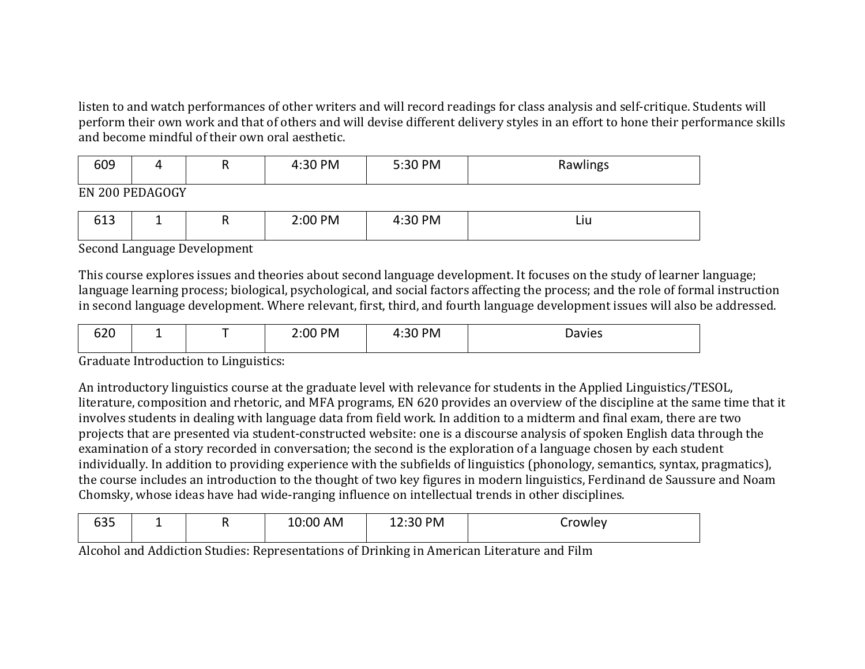listen to and watch performances of other writers and will record readings for class analysis and self-critique. Students will perform their own work and that of others and will devise different delivery styles in an effort to hone their performance skills and become mindful of their own oral aesthetic.

| sna |                         | . . | <b>PM</b> | 5:30 PM | Rawlings |
|-----|-------------------------|-----|-----------|---------|----------|
|     | <b>PH 000 BBB LOOCH</b> |     |           |         |          |

EN!200!PEDAGOGY

| $\sim$ $\sim$<br>ັບ⊥ | -- | . . | 2:00 PM | :30 PM<br>. .<br>J U | ᄓ |
|----------------------|----|-----|---------|----------------------|---|
|----------------------|----|-----|---------|----------------------|---|

Second Language Development

This course explores issues and theories about second language development. It focuses on the study of learner language; language learning process; biological, psychological, and social factors affecting the process; and the role of formal instruction in second language development. Where relevant, first, third, and fourth language development issues will also be addressed.

| ---<br>$\sim$<br><br>◡▵◟ | - | _ | PM<br>חיי<br>___ | PM | Davies |
|--------------------------|---|---|------------------|----|--------|
|--------------------------|---|---|------------------|----|--------|

Graduate Introduction to Linguistics:

An introductory linguistics course at the graduate level with relevance for students in the Applied Linguistics/TESOL, literature, composition and rhetoric, and MFA programs, EN 620 provides an overview of the discipline at the same time that it involves students in dealing with language data from field work. In addition to a midterm and final exam, there are two projects that are presented via student-constructed website: one is a discourse analysis of spoken English data through the examination of a story recorded in conversation; the second is the exploration of a language chosen by each student individually. In addition to providing experience with the subfields of linguistics (phonology, semantics, syntax, pragmatics), the course includes an introduction to the thought of two key figures in modern linguistics, Ferdinand de Saussure and Noam Chomsky, whose ideas have had wide-ranging influence on intellectual trends in other disciplines.

| <b>car</b><br>ັບ<br>- - - |  | AM<br>10:00 | ן ס $\Omega$ | `rowlev |
|---------------------------|--|-------------|--------------|---------|
|                           |  |             |              |         |

Alcohol and Addiction Studies: Representations of Drinking in American Literature and Film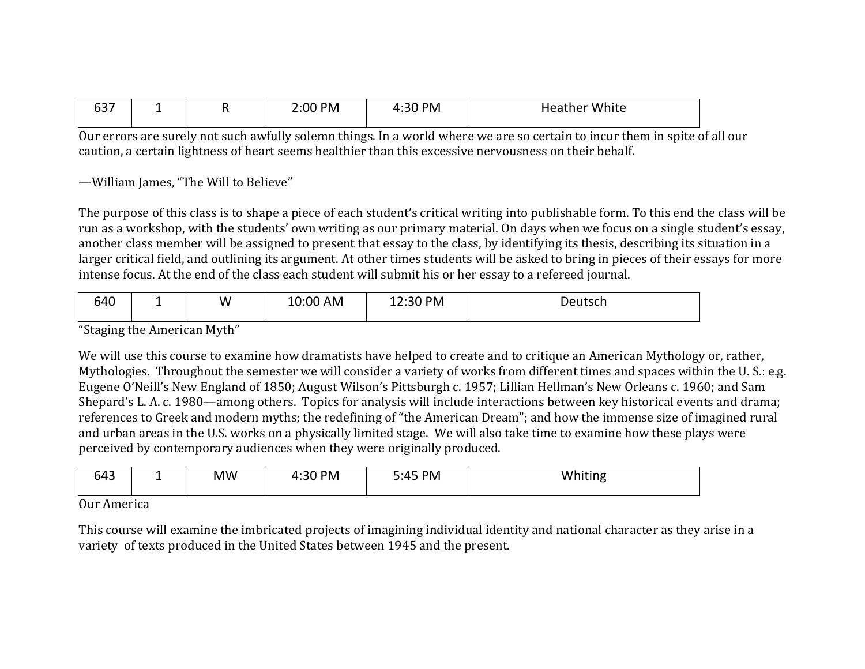| ---<br>. .<br>, כס | - | ംഗ്ര<br>PM | 4:30 PM<br>. . | White<br>eather |
|--------------------|---|------------|----------------|-----------------|
|                    |   |            |                |                 |

 $\overline{0}$ ur errors are surely not such awfully solemn things. In a world where we are so certain to incur them in spite of all our caution, a certain lightness of heart seems healthier than this excessive nervousness on their behalf.

-William James, "The Will to Believe"

The purpose of this class is to shape a piece of each student's critical writing into publishable form. To this end the class will be run as a workshop, with the students' own writing as our primary material. On days when we focus on a single student's essay, another class member will be assigned to present that essay to the class, by identifying its thesis, describing its situation in a larger critical field, and outlining its argument. At other times students will be asked to bring in pieces of their essays for more intense focus. At the end of the class each student will submit his or her essay to a refereed journal.

| 640 |  | W | 10:00<br>AM | :30 PM<br>___ | $\Box$<br>utsul<br>. |
|-----|--|---|-------------|---------------|----------------------|
|-----|--|---|-------------|---------------|----------------------|

"Staging the American Myth"

We will use this course to examine how dramatists have helped to create and to critique an American Mythology or, rather, Mythologies. Throughout the semester we will consider a variety of works from different times and spaces within the U.S.: e.g. Eugene O'Neill's New England of 1850; August Wilson's Pittsburgh c. 1957; Lillian Hellman's New Orleans c. 1960; and Sam Shepard's L. A. c. 1980—among others. Topics for analysis will include interactions between key historical events and drama; references to Greek and modern myths; the redefining of "the American Dream"; and how the immense size of imagined rural and urban areas in the U.S. works on a physically limited stage. We will also take time to examine how these plays were perceived by contemporary audiences when they were originally produced.

| $\Lambda$<br>043 | - | <b>MW</b> | <b>PM</b> | PM<br>$.1 \Gamma$<br>. . | .<br>tıng<br>w<br>. <b>.</b> |
|------------------|---|-----------|-----------|--------------------------|------------------------------|
| $\sim$           |   |           |           |                          |                              |

Our America

This course will examine the imbricated projects of imagining individual identity and national character as they arise in a variety of texts produced in the United States between 1945 and the present.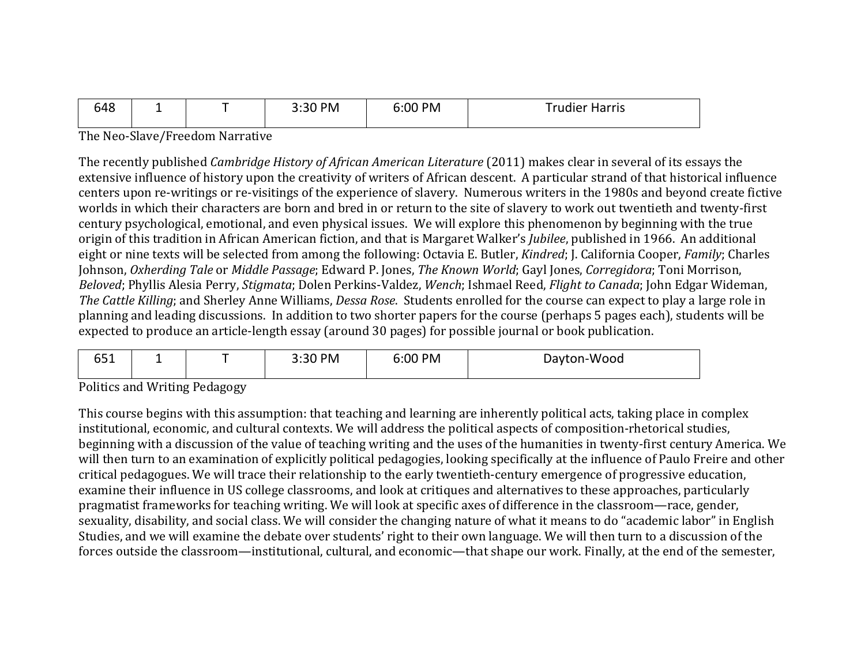| 648 | - | 3:30 PM<br>3.3U | 6:00 PM | 'rudier Harris' |
|-----|---|-----------------|---------|-----------------|
|     |   |                 |         |                 |

The Neo-Slave/Freedom Narrative

The recently published *Cambridge History of African American Literature* (2011) makes clear in several of its essays the extensive influence of history upon the creativity of writers of African descent. A particular strand of that historical influence centers upon re-writings or re-visitings of the experience of slavery. Numerous writers in the 1980s and beyond create fictive worlds in which their characters are born and bred in or return to the site of slavery to work out twentieth and twenty-first century psychological, emotional, and even physical issues. We will explore this phenomenon by beginning with the true origin of this tradition in African American fiction, and that is Margaret Walker's Jubilee, published in 1966. An additional eight or nine texts will be selected from among the following: Octavia E. Butler, *Kindred*; J. California Cooper, *Family*; Charles Johnson, Oxherding Tale or Middle Passage; Edward P. Jones, The Known World; Gayl Jones, Corregidora; Toni Morrison, Beloved; Phyllis Alesia Perry, Stigmata; Dolen Perkins-Valdez, Wench; Ishmael Reed, Flight to Canada; John Edgar Wideman, The Cattle Killing; and Sherley Anne Williams, Dessa Rose. Students enrolled for the course can expect to play a large role in planning and leading discussions. In addition to two shorter papers for the course (perhaps 5 pages each), students will be expected to produce an article-length essay (around 30 pages) for possible journal or book publication.

| C – 4<br><b>PPT</b> | -                                   |      | ∩ PM | 5:00 PM | Dayton-Wood |
|---------------------|-------------------------------------|------|------|---------|-------------|
|                     | the contract of the contract of the | ____ |      |         |             |

**Politics and Writing Pedagogy** 

This course begins with this assumption: that teaching and learning are inherently political acts, taking place in complex institutional, economic, and cultural contexts. We will address the political aspects of composition-rhetorical studies, beginning with a discussion of the value of teaching writing and the uses of the humanities in twenty-first century America. We will then turn to an examination of explicitly political pedagogies, looking specifically at the influence of Paulo Freire and other critical pedagogues. We will trace their relationship to the early twentieth-century emergence of progressive education, examine their influence in US college classrooms, and look at critiques and alternatives to these approaches, particularly pragmatist frameworks for teaching writing. We will look at specific axes of difference in the classroom—race, gender, sexuality, disability, and social class. We will consider the changing nature of what it means to do "academic labor" in English Studies, and we will examine the debate over students' right to their own language. We will then turn to a discussion of the forces outside the classroom—institutional, cultural, and economic—that shape our work. Finally, at the end of the semester,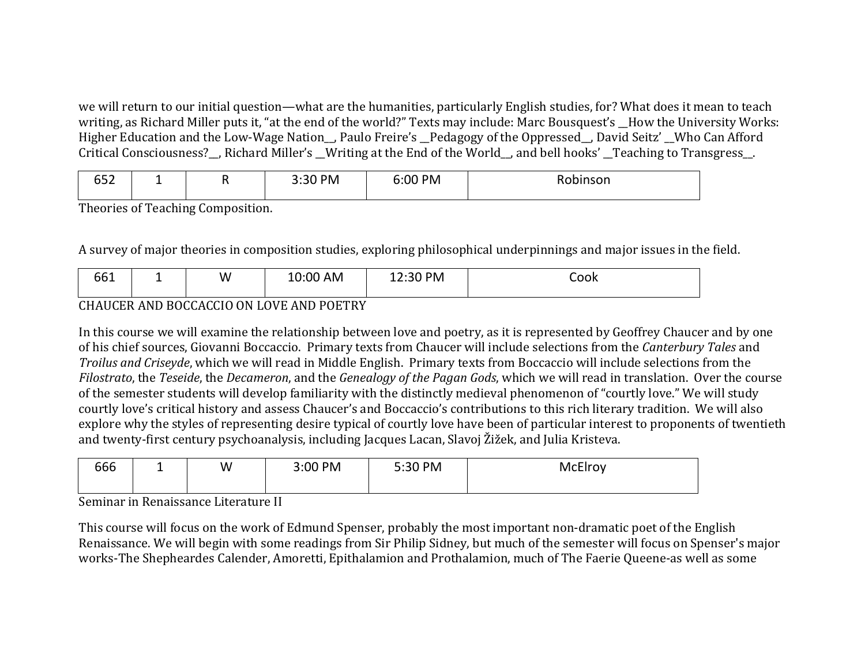we will return to our initial question—what are the humanities, particularly English studies, for? What does it mean to teach writing, as Richard Miller puts it, "at the end of the world?" Texts may include: Marc Bousquest's How the University Works: Higher Education and the Low-Wage Nation , Paulo Freire's Pedagogy of the Oppressed, David Seitz' Who Can Afford Critical Consciousness?\_, Richard Miller's \_Writing at the End of the World\_, and bell hooks' \_Teaching to Transgress\_.

| $- - -$<br>◡◡▵ | -- | . . | PM<br>$\sim$<br>---- | 6:00 PM | Robinson |
|----------------|----|-----|----------------------|---------|----------|
|----------------|----|-----|----------------------|---------|----------|

Theories of Teaching Composition.

A survey of major theories in composition studies, exploring philosophical underpinnings and major issues in the field.

| .<br>nı.<br>◡◡∸ |  | W | AM | י∿פ<br>-- | ook |
|-----------------|--|---|----|-----------|-----|
|-----------------|--|---|----|-----------|-----|

## CHAUCER AND BOCCACCIO ON LOVE AND POETRY

In this course we will examine the relationship between love and poetry, as it is represented by Geoffrey Chaucer and by one of his chief sources, Giovanni Boccaccio. Primary texts from Chaucer will include selections from the *Canterbury Tales* and *Troilus and Criseyde*, which we will read in Middle English. Primary texts from Boccaccio will include selections from the *Filostrato*, the *Teseide*, the *Decameron*, and the *Genealogy of the Pagan Gods*, which we will read in translation. Over the course of the semester students will develop familiarity with the distinctly medieval phenomenon of "courtly love." We will study courtly love's critical history and assess Chaucer's and Boccaccio's contributions to this rich literary tradition. We will also explore why the styles of representing desire typical of courtly love have been of particular interest to proponents of twentieth and twenty-first century psychoanalysis, including Jacques Lacan, Slavoj Žižek, and Julia Kristeva.

| $\overline{C}$<br>3:00 PM<br>5:30 PM<br>W<br>McElroy<br>bbb<br>-- |  |
|-------------------------------------------------------------------|--|
|-------------------------------------------------------------------|--|

Seminar in Renaissance Literature II

This course will focus on the work of Edmund Spenser, probably the most important non-dramatic poet of the English Renaissance. We will begin with some readings from Sir Philip Sidney, but much of the semester will focus on Spenser's major works-The Shepheardes Calender, Amoretti, Epithalamion and Prothalamion, much of The Faerie Queene-as well as some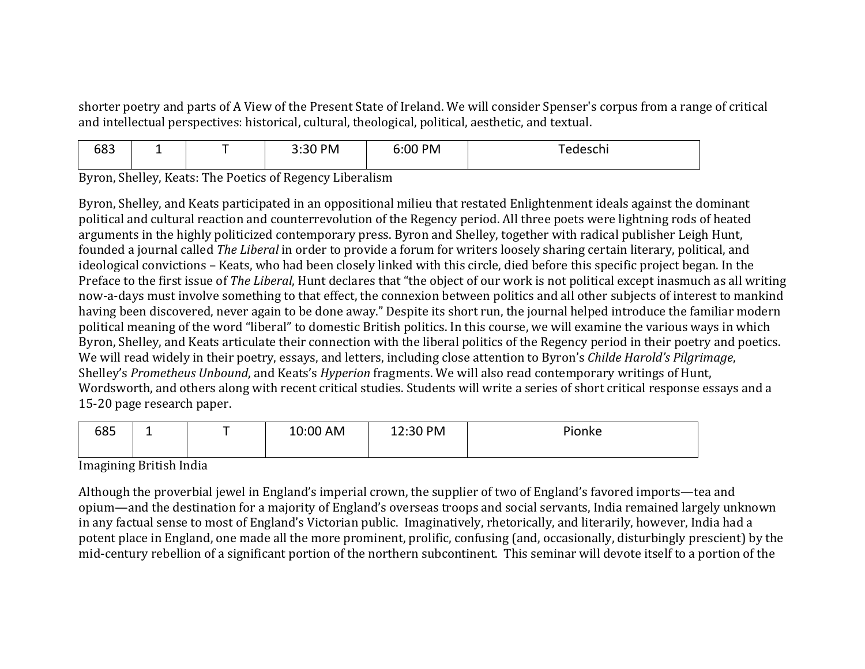shorter poetry and parts of A View of the Present State of Ireland. We will consider Spenser's corpus from a range of critical and intellectual perspectives: historical, cultural, theological, political, aesthetic, and textual.

| - - -<br>5:00 PM<br>2.20<br>PM<br>כסס<br>.<br>---<br>-- |  |  |  |  |  |  |
|---------------------------------------------------------|--|--|--|--|--|--|
|---------------------------------------------------------|--|--|--|--|--|--|

Byron, Shelley, Keats: The Poetics of Regency Liberalism

Byron, Shelley, and Keats participated in an oppositional milieu that restated Enlightenment ideals against the dominant political and cultural reaction and counterrevolution of the Regency period. All three poets were lightning rods of heated arguments in the highly politicized contemporary press. Byron and Shelley, together with radical publisher Leigh Hunt, founded a journal called *The Liberal* in order to provide a forum for writers loosely sharing certain literary, political, and ideological convictions – Keats, who had been closely linked with this circle, died before this specific project began. In the Preface to the first issue of *The Liberal*, Hunt declares that "the object of our work is not political except inasmuch as all writing now-a-days must involve something to that effect, the connexion between politics and all other subjects of interest to mankind having been discovered, never again to be done away." Despite its short run, the journal helped introduce the familiar modern political meaning of the word "liberal" to domestic British politics. In this course, we will examine the various ways in which Byron, Shelley, and Keats articulate their connection with the liberal politics of the Regency period in their poetry and poetics. We will read widely in their poetry, essays, and letters, including close attention to Byron's *Childe Harold's Pilgrimage*, Shelley's *Prometheus Unbound*, and Keats's *Hyperion* fragments. We will also read contemporary writings of Hunt, Wordsworth, and others along with recent critical studies. Students will write a series of short critical response essays and a 15-20 page research paper.

| 685 | - | 10:00 AM | 12:30 PM | <sup>o</sup> ionke |
|-----|---|----------|----------|--------------------|
|-----|---|----------|----------|--------------------|

Imagining British India

Although the proverbial jewel in England's imperial crown, the supplier of two of England's favored imports—tea and opium—and the destination for a majority of England's overseas troops and social servants, India remained largely unknown in any factual sense to most of England's Victorian public. Imaginatively, rhetorically, and literarily, however, India had a potent place in England, one made all the more prominent, prolific, confusing (and, occasionally, disturbingly prescient) by the mid-century rebellion of a significant portion of the northern subcontinent. This seminar will devote itself to a portion of the